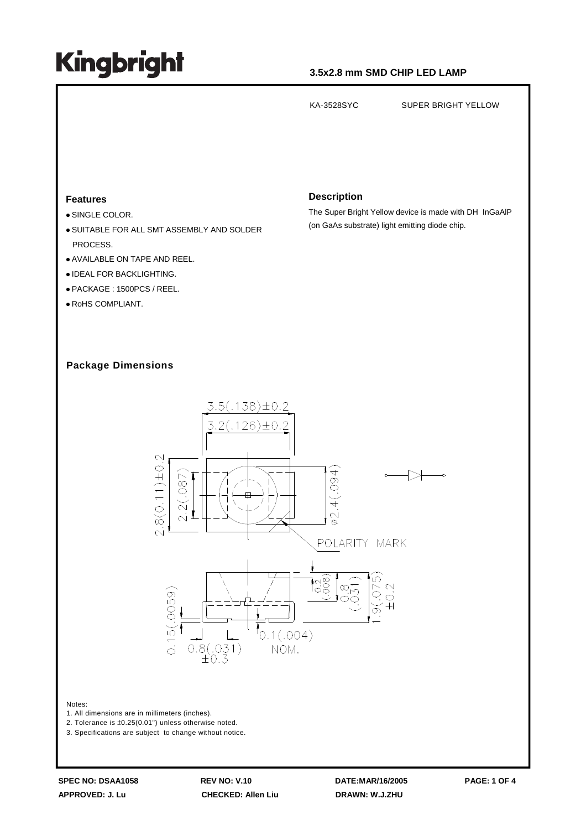### **3.5x2.8 mm SMD CHIP LED LAMP**

KA-3528SYC SUPER BRIGHT YELLOW **Description Features** The Super Bright Yellow device is made with DH InGaAlP SINGLE COLOR. (on GaAs substrate) light emitting diode chip. SUITABLE FOR ALL SMT ASSEMBLY AND SOLDER PROCESS. AVAILABLE ON TAPE AND REEL. **. IDEAL FOR BACKLIGHTING.**  PACKAGE : 1500PCS / REEL. RoHS COMPLIANT. **Package Dimensions**  $3.5(.138) \pm 0.2$ 3.2(.126)±0.2  $8(0.11) \pm 0.2$  $(100.$ 087  $\breve{+}$ Q.  $\overline{\sim}$ POLARITY MARK |<br>|၁၀<br>|၁၀  $\alpha$ 0059)

 $10.1(.004)$ 

NOM.

#### Notes:

1. All dimensions are in millimeters (inches).

2. Tolerance is ±0.25(0.01") unless otherwise noted.

3. Specifications are subject to change without notice.

 $\approx$ 

 $\frac{1}{\sqrt{2}}$ 

 $0.8(.031)$ <br> $\pm 0.3$ 

**SPEC NO: DSAA1058 REV NO: V.10 DATE:MAR/16/2005 PAGE: 1 OF 4 APPROVED: J. Lu CHECKED: Allen Liu DRAWN: W.J.ZHU**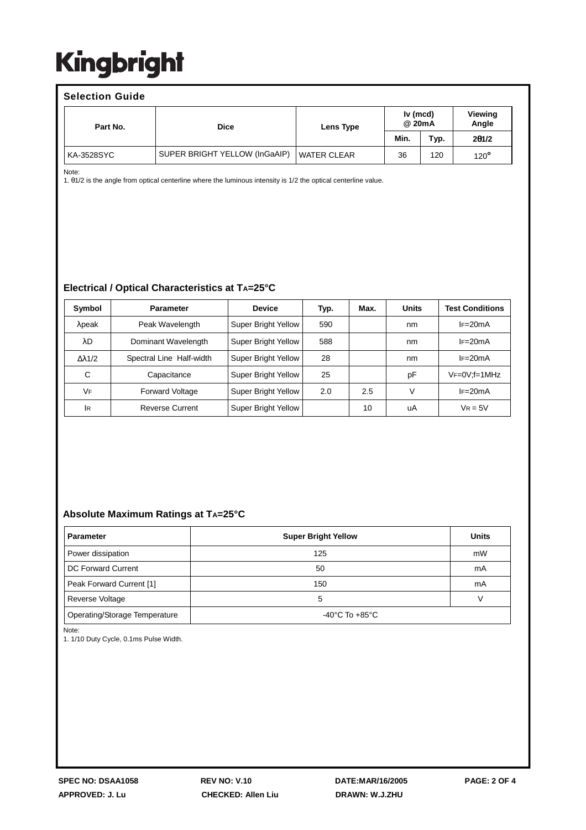| <b>Selection Guide</b> |                               |                    |                    |      |                  |  |  |  |  |
|------------------------|-------------------------------|--------------------|--------------------|------|------------------|--|--|--|--|
| Part No.               | <b>Dice</b>                   | Lens Type          | Iv (mcd)<br>@ 20mA |      | Viewing<br>Angle |  |  |  |  |
|                        |                               |                    | Min.               | Typ. | 201/2            |  |  |  |  |
| KA-3528SYC             | SUPER BRIGHT YELLOW (InGaAIP) | <b>WATER CLEAR</b> | 36                 | 120  | $120^\circ$      |  |  |  |  |

Note:

1. θ1/2 is the angle from optical centerline where the luminous intensity is 1/2 the optical centerline value.

#### **Electrical / Optical Characteristics at TA=25°C**

| Symbol               | <b>Parameter</b>         | <b>Device</b>       | Typ. | Max. | <b>Units</b> | <b>Test Conditions</b> |
|----------------------|--------------------------|---------------------|------|------|--------------|------------------------|
| $\lambda$ peak       | Peak Wavelength          | Super Bright Yellow | 590  |      | nm           | $IF=20mA$              |
| λD                   | Dominant Wavelength      | Super Bright Yellow | 588  |      | nm           | $I = 20mA$             |
| $\Delta \lambda$ 1/2 | Spectral Line Half-width | Super Bright Yellow | 28   |      | nm           | $IF=20mA$              |
| С                    | Capacitance              | Super Bright Yellow | 25   |      | рF           | $VF=0V$ : $f=1MHz$     |
| VF                   | <b>Forward Voltage</b>   | Super Bright Yellow | 2.0  | 2.5  | V            | $IF=20mA$              |
| <b>IR</b>            | <b>Reverse Current</b>   | Super Bright Yellow |      | 10   | uA           | $V_R = 5V$             |

#### **Absolute Maximum Ratings at TA=25°C**

| <b>Parameter</b>              | <b>Super Bright Yellow</b> | <b>Units</b> |  |
|-------------------------------|----------------------------|--------------|--|
| Power dissipation             | 125                        | mW           |  |
| DC Forward Current            | 50                         | mA           |  |
| Peak Forward Current [1]      | 150                        | mA           |  |
| Reverse Voltage               | 5                          |              |  |
| Operating/Storage Temperature | -40°C To $+85^{\circ}$ C   |              |  |

Note:

1. 1/10 Duty Cycle, 0.1ms Pulse Width.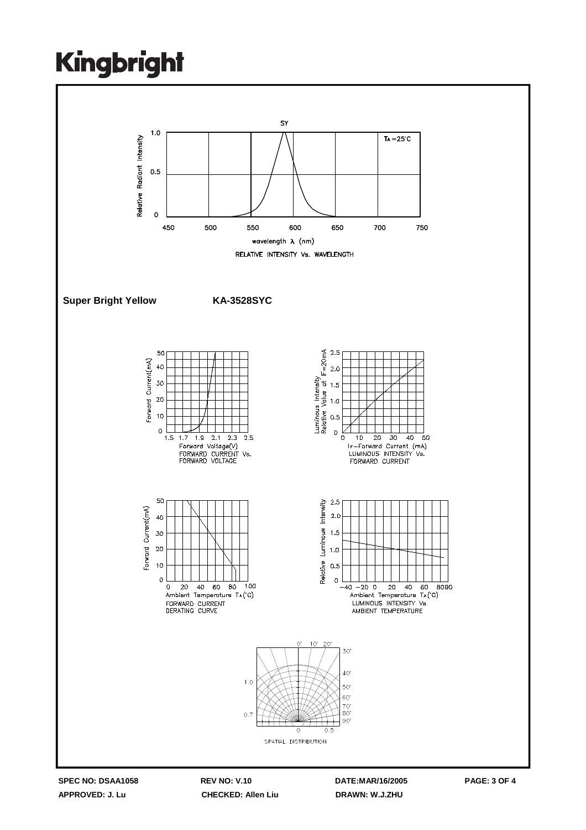